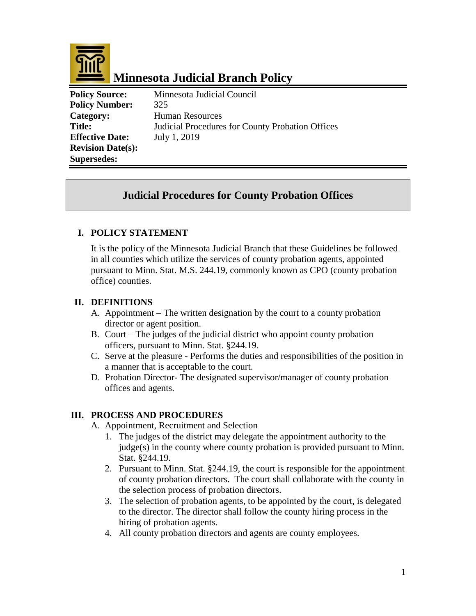

# **Minnesota Judicial Branch Policy**

| <b>Policy Source:</b>    | Minnesota Judicial Council                       |
|--------------------------|--------------------------------------------------|
| <b>Policy Number:</b>    | 325                                              |
| Category:                | <b>Human Resources</b>                           |
| <b>Title:</b>            | Judicial Procedures for County Probation Offices |
| <b>Effective Date:</b>   | July 1, 2019                                     |
| <b>Revision Date(s):</b> |                                                  |
| <b>Supersedes:</b>       |                                                  |

# **Judicial Procedures for County Probation Offices**

### **I. POLICY STATEMENT**

It is the policy of the Minnesota Judicial Branch that these Guidelines be followed in all counties which utilize the services of county probation agents, appointed pursuant to Minn. Stat. M.S. 244.19, commonly known as CPO (county probation office) counties.

#### **II. DEFINITIONS**

- A. Appointment The written designation by the court to a county probation director or agent position.
- B. Court The judges of the judicial district who appoint county probation officers, pursuant to Minn. Stat. §244.19.
- C. Serve at the pleasure Performs the duties and responsibilities of the position in a manner that is acceptable to the court.
- D. Probation Director- The designated supervisor/manager of county probation offices and agents.

#### **III. PROCESS AND PROCEDURES**

- A. Appointment, Recruitment and Selection
	- 1. The judges of the district may delegate the appointment authority to the judge(s) in the county where county probation is provided pursuant to Minn. Stat. §244.19.
	- 2. Pursuant to Minn. Stat. §244.19, the court is responsible for the appointment of county probation directors. The court shall collaborate with the county in the selection process of probation directors.
	- 3. The selection of probation agents, to be appointed by the court, is delegated to the director. The director shall follow the county hiring process in the hiring of probation agents.
	- 4. All county probation directors and agents are county employees.